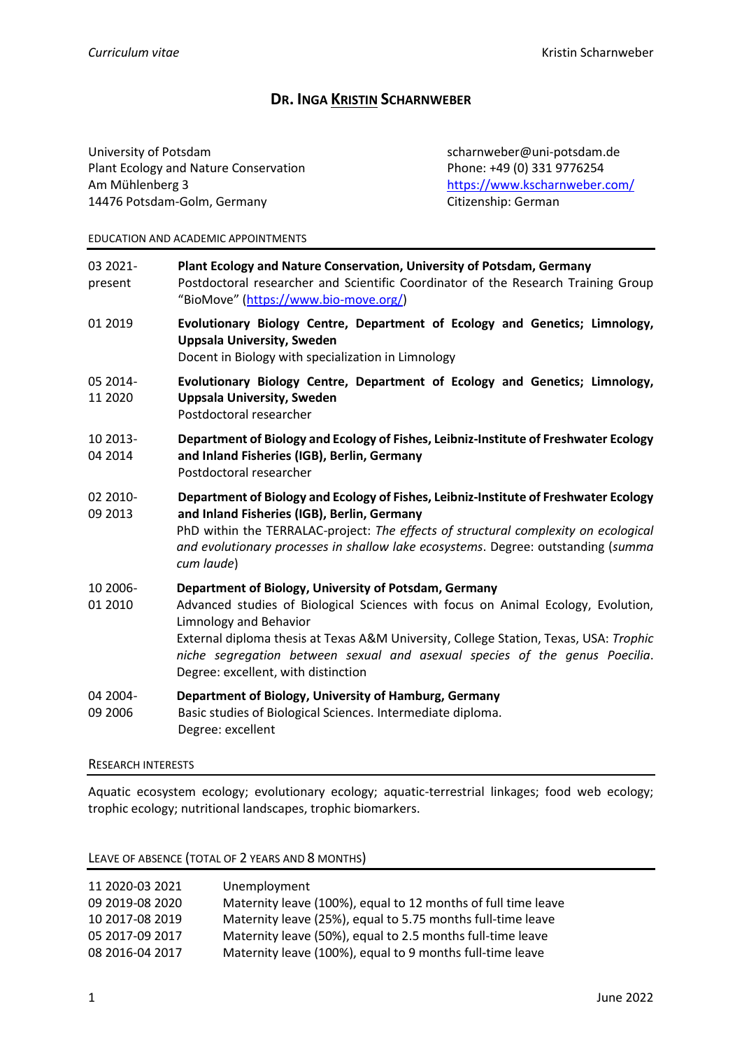# **DR. INGA KRISTIN SCHARNWEBER**

University of Potsdam scharnweber@uni-potsdam.de Plant Ecology and Nature Conservation Phone: +49 (0) 331 9776254 Am Mühlenberg 3 <https://www.kscharnweber.com/> 14476 Potsdam-Golm, Germany Citizenship: German

#### EDUCATION AND ACADEMIC APPOINTMENTS

- 03 2021- **Plant Ecology and Nature Conservation, University of Potsdam, Germany** present Postdoctoral researcher and Scientific Coordinator of the Research Training Group "BioMove" ([https://www.bio-move.org/\)](https://www.bio-move.org/)
- 01 2019 **Evolutionary Biology Centre, Department of Ecology and Genetics; Limnology, Uppsala University, Sweden** Docent in Biology with specialization in Limnology
- 05 2014- **Evolutionary Biology Centre, Department of Ecology and Genetics; Limnology,**  11 2020 **Uppsala University, Sweden** 
	- Postdoctoral researcher
- 10 2013- **Department of Biology and Ecology of Fishes, Leibniz-Institute of Freshwater Ecology** 04 2014 **and Inland Fisheries (IGB), Berlin, Germany**
	- Postdoctoral researcher
- 02 2010- **Department of Biology and Ecology of Fishes, Leibniz-Institute of Freshwater Ecology** 09 2013 **and Inland Fisheries (IGB), Berlin, Germany**
	- PhD within the TERRALAC-project: *The effects of structural complexity on ecological and evolutionary processes in shallow lake ecosystems*. Degree: outstanding (*summa cum laude*)
- 10 2006- **Department of Biology, University of Potsdam, Germany**
- 01 2010 Advanced studies of Biological Sciences with focus on Animal Ecology, Evolution, Limnology and Behavior External diploma thesis at Texas A&M University, College Station, Texas, USA: *Trophic niche segregation between sexual and asexual species of the genus Poecilia*. Degree: excellent, with distinction
- 04 2004- **Department of Biology, University of Hamburg, Germany**
- 09 2006 Basic studies of Biological Sciences. Intermediate diploma. Degree: excellent

#### RESEARCH INTERESTS

Aquatic ecosystem ecology; evolutionary ecology; aquatic-terrestrial linkages; food web ecology; trophic ecology; nutritional landscapes, trophic biomarkers.

LEAVE OF ABSENCE (TOTAL OF 2 YEARS AND 8 MONTHS)

| 11 2020-03 2021 | Unemployment                                                  |
|-----------------|---------------------------------------------------------------|
| 09 2019-08 2020 | Maternity leave (100%), equal to 12 months of full time leave |
| 10 2017-08 2019 | Maternity leave (25%), equal to 5.75 months full-time leave   |
| 05 2017-09 2017 | Maternity leave (50%), equal to 2.5 months full-time leave    |
| 08 2016-04 2017 | Maternity leave (100%), equal to 9 months full-time leave     |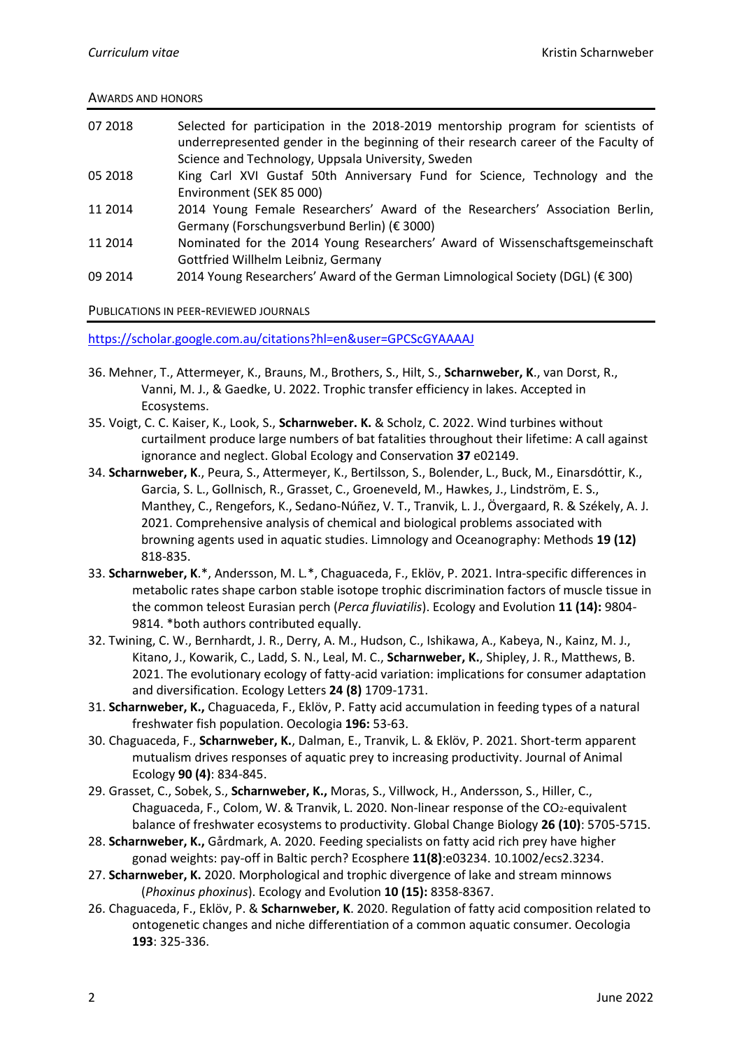### AWARDS AND HONORS

| 07 2018 | Selected for participation in the 2018-2019 mentorship program for scientists of<br>underrepresented gender in the beginning of their research career of the Faculty of |
|---------|-------------------------------------------------------------------------------------------------------------------------------------------------------------------------|
|         | Science and Technology, Uppsala University, Sweden                                                                                                                      |
| 05 2018 | King Carl XVI Gustaf 50th Anniversary Fund for Science, Technology and the                                                                                              |
|         | Environment (SEK 85 000)                                                                                                                                                |
| 11 2014 | 2014 Young Female Researchers' Award of the Researchers' Association Berlin,                                                                                            |
|         | Germany (Forschungsverbund Berlin) (€ 3000)                                                                                                                             |
| 11 2014 | Nominated for the 2014 Young Researchers' Award of Wissenschaftsgemeinschaft                                                                                            |
|         | Gottfried Willhelm Leibniz, Germany                                                                                                                                     |
| 09 2014 | 2014 Young Researchers' Award of the German Limnological Society (DGL) (€ 300)                                                                                          |

### PUBLICATIONS IN PEER-REVIEWED JOURNALS

<https://scholar.google.com.au/citations?hl=en&user=GPCScGYAAAAJ>

- 36. Mehner, T., Attermeyer, K., Brauns, M., Brothers, S., Hilt, S., **Scharnweber, K**., van Dorst, R., Vanni, M. J., & Gaedke, U. 2022. Trophic transfer efficiency in lakes. Accepted in Ecosystems.
- 35. Voigt, C. C. Kaiser, K., Look, S., **Scharnweber. K.** & Scholz, C. 2022. Wind turbines without curtailment produce large numbers of bat fatalities throughout their lifetime: A call against ignorance and neglect. Global Ecology and Conservation **37** e02149.
- 34. **Scharnweber, K**., Peura, S., Attermeyer, K., Bertilsson, S., Bolender, L., Buck, M., Einarsdóttir, K., Garcia, S. L., Gollnisch, R., Grasset, C., Groeneveld, M., Hawkes, J., Lindström, E. S., Manthey, C., Rengefors, K., Sedano-Núñez, V. T., Tranvik, L. J., Övergaard, R. & Székely, A. J. 2021. Comprehensive analysis of chemical and biological problems associated with browning agents used in aquatic studies. Limnology and Oceanography: Methods **19 (12)** 818-835.
- 33. **Scharnweber, K**.\*, Andersson, M. L*.*\*, Chaguaceda, F., Eklöv, P. 2021. Intra-specific differences in metabolic rates shape carbon stable isotope trophic discrimination factors of muscle tissue in the common teleost Eurasian perch (*Perca fluviatilis*). Ecology and Evolution **11 (14):** 9804- 9814. \*both authors contributed equally.
- 32. Twining, C. W., Bernhardt, J. R., Derry, A. M., Hudson, C., Ishikawa, A., Kabeya, N., Kainz, M. J., Kitano, J., Kowarik, C., Ladd, S. N., Leal, M. C., **Scharnweber, K.**, Shipley, J. R., Matthews, B. 2021. The evolutionary ecology of fatty-acid variation: implications for consumer adaptation and diversification. Ecology Letters **24 (8)** 1709-1731.
- 31. **Scharnweber, K.,** Chaguaceda, F., Eklöv, P. Fatty acid accumulation in feeding types of a natural freshwater fish population. Oecologia **196:** 53-63.
- 30. Chaguaceda, F., **Scharnweber, K.**, Dalman, E., Tranvik, L. & Eklöv, P. 2021. Short-term apparent mutualism drives responses of aquatic prey to increasing productivity. Journal of Animal Ecology **90 (4)**: 834-845.
- 29. Grasset, C., Sobek, S., **Scharnweber, K.,** Moras, S., Villwock, H., Andersson, S., Hiller, C., Chaguaceda, F., Colom, W. & Tranvik, L. 2020. Non-linear response of the CO<sub>2</sub>-equivalent balance of freshwater ecosystems to productivity. Global Change Biology **26 (10)**: 5705-5715.
- 28. **Scharnweber, K.,** Gårdmark, A. 2020. Feeding specialists on fatty acid rich prey have higher gonad weights: pay-off in Baltic perch? Ecosphere **11(8)**:e03234. 10.1002/ecs2.3234.
- 27. **Scharnweber, K.** 2020. Morphological and trophic divergence of lake and stream minnows (*Phoxinus phoxinus*). Ecology and Evolution **10 (15):** 8358-8367.
- 26. Chaguaceda, F., Eklöv, P. & **Scharnweber, K**. 2020. Regulation of fatty acid composition related to ontogenetic changes and niche differentiation of a common aquatic consumer. Oecologia **193**: 325-336.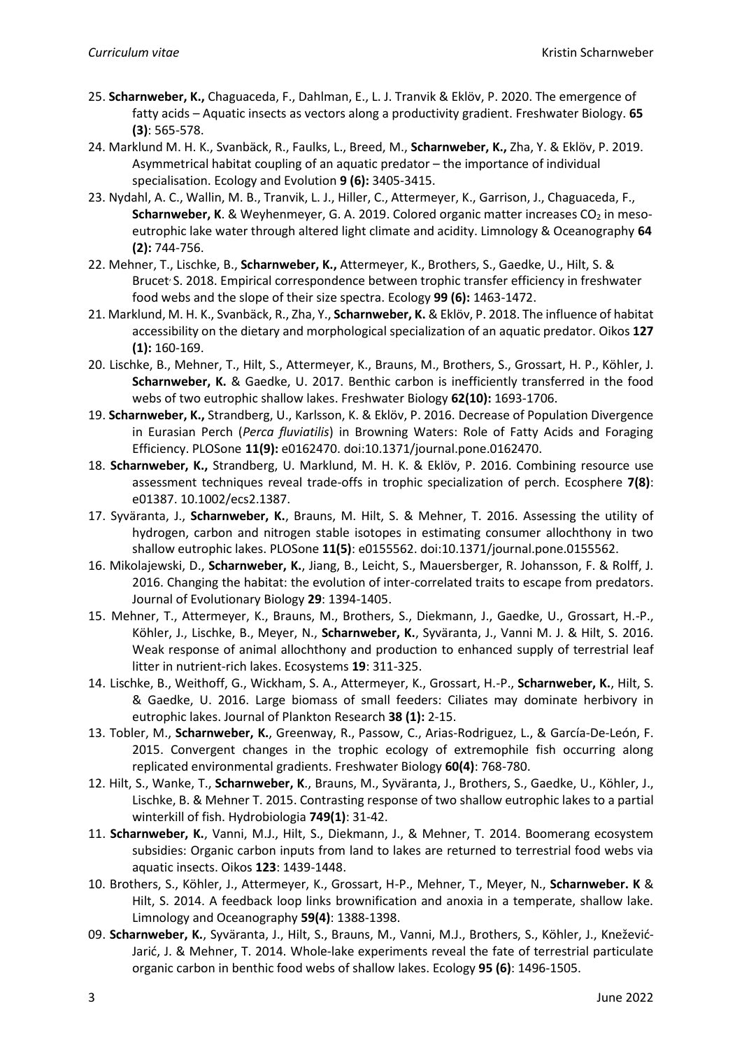- 25. **Scharnweber, K.,** Chaguaceda, F., Dahlman, E., L. J. Tranvik & Eklöv, P. 2020. The emergence of fatty acids – Aquatic insects as vectors along a productivity gradient. Freshwater Biology. **65 (3)**: 565-578.
- 24. Marklund M. H. K., Svanbäck, R., Faulks, L., Breed, M., **Scharnweber, K.,** Zha, Y. & Eklöv, P. 2019. Asymmetrical habitat coupling of an aquatic predator – the importance of individual specialisation. Ecology and Evolution **9 (6):** 3405-3415.
- 23. Nydahl, A. C., Wallin, M. B., Tranvik, L. J., Hiller, C., Attermeyer, K., Garrison, J., Chaguaceda, F., **Scharnweber, K**. & Weyhenmeyer, G. A. 2019. Colored organic matter increases CO<sub>2</sub> in mesoeutrophic lake water through altered light climate and acidity. Limnology & Oceanography **64 (2):** 744-756.
- 22. Mehner, T., Lischke, B., **Scharnweber, K.,** Attermeyer, K., Brothers, S., Gaedke, U., Hilt, S. & Brucet S. 2018. Empirical correspondence between trophic transfer efficiency in freshwater food webs and the slope of their size spectra. Ecology **99 (6):** 1463-1472.
- 21. Marklund, M. H. K., Svanbäck, R., Zha, Y., **Scharnweber, K.** & Eklöv, P. 2018. The influence of habitat accessibility on the dietary and morphological specialization of an aquatic predator. Oikos **127 (1):** 160-169.
- 20. Lischke, B., Mehner, T., Hilt, S., Attermeyer, K., Brauns, M., Brothers, S., Grossart, H. P., Köhler, J. **Scharnweber, K.** & Gaedke, U. 2017. Benthic carbon is inefficiently transferred in the food webs of two eutrophic shallow lakes. Freshwater Biology **62(10):** 1693-1706.
- 19. **Scharnweber, K.,** Strandberg, U., Karlsson, K. & Eklöv, P. 2016. Decrease of Population Divergence in Eurasian Perch (*Perca fluviatilis*) in Browning Waters: Role of Fatty Acids and Foraging Efficiency. PLOSone **11(9):** e0162470. doi:10.1371/journal.pone.0162470.
- 18. **Scharnweber, K.,** Strandberg, U. Marklund, M. H. K. & Eklöv, P. 2016. Combining resource use assessment techniques reveal trade-offs in trophic specialization of perch. Ecosphere **7(8)**: e01387. 10.1002/ecs2.1387.
- 17. Syväranta, J., **Scharnweber, K.**, Brauns, M. Hilt, S. & Mehner, T. 2016. Assessing the utility of hydrogen, carbon and nitrogen stable isotopes in estimating consumer allochthony in two shallow eutrophic lakes. PLOSone **11(5)**: e0155562. doi:10.1371/journal.pone.0155562.
- 16. Mikolajewski, D., **Scharnweber, K.**, Jiang, B., Leicht, S., Mauersberger, R. Johansson, F. & Rolff, J. 2016. Changing the habitat: the evolution of inter-correlated traits to escape from predators. Journal of Evolutionary Biology **29**: 1394-1405.
- 15. Mehner, T., Attermeyer, K., Brauns, M., Brothers, S., Diekmann, J., Gaedke, U., Grossart, H.-P., Köhler, J., Lischke, B., Meyer, N., **Scharnweber, K.**, Syväranta, J., Vanni M. J. & Hilt, S. 2016. Weak response of animal allochthony and production to enhanced supply of terrestrial leaf litter in nutrient-rich lakes. Ecosystems **19**: 311-325.
- 14. Lischke, B., Weithoff, G., Wickham, S. A., Attermeyer, K., Grossart, H.-P., **Scharnweber, K.**, Hilt, S. & Gaedke, U. 2016. Large biomass of small feeders: Ciliates may dominate herbivory in eutrophic lakes. Journal of Plankton Research **38 (1):** 2-15.
- 13. Tobler, M., **Scharnweber, K.**, Greenway, R., Passow, C., Arias-Rodriguez, L., & García-De-León, F. 2015. Convergent changes in the trophic ecology of extremophile fish occurring along replicated environmental gradients. Freshwater Biology **60(4)**: 768-780.
- 12. Hilt, S., Wanke, T., **Scharnweber, K**., Brauns, M., Syväranta, J., Brothers, S., Gaedke, U., Köhler, J., Lischke, B. & Mehner T. 2015. Contrasting response of two shallow eutrophic lakes to a partial winterkill of fish. Hydrobiologia **749(1)**: 31-42.
- 11. **Scharnweber, K.**, Vanni, M.J., Hilt, S., Diekmann, J., & Mehner, T. 2014. Boomerang ecosystem subsidies: Organic carbon inputs from land to lakes are returned to terrestrial food webs via aquatic insects. Oikos **123**: 1439-1448.
- 10. Brothers, S., Köhler, J., Attermeyer, K., Grossart, H-P., Mehner, T., Meyer, N., **Scharnweber. K** & Hilt, S. 2014. A feedback loop links brownification and anoxia in a temperate, shallow lake. Limnology and Oceanography **59(4)**: 1388-1398.
- 09. **Scharnweber, K.**, Syväranta, J., Hilt, S., Brauns, M., Vanni, M.J., Brothers, S., Köhler, J., Knežević-Jarić, J. & Mehner, T. 2014. Whole-lake experiments reveal the fate of terrestrial particulate organic carbon in benthic food webs of shallow lakes. Ecology **95 (6)**: 1496-1505.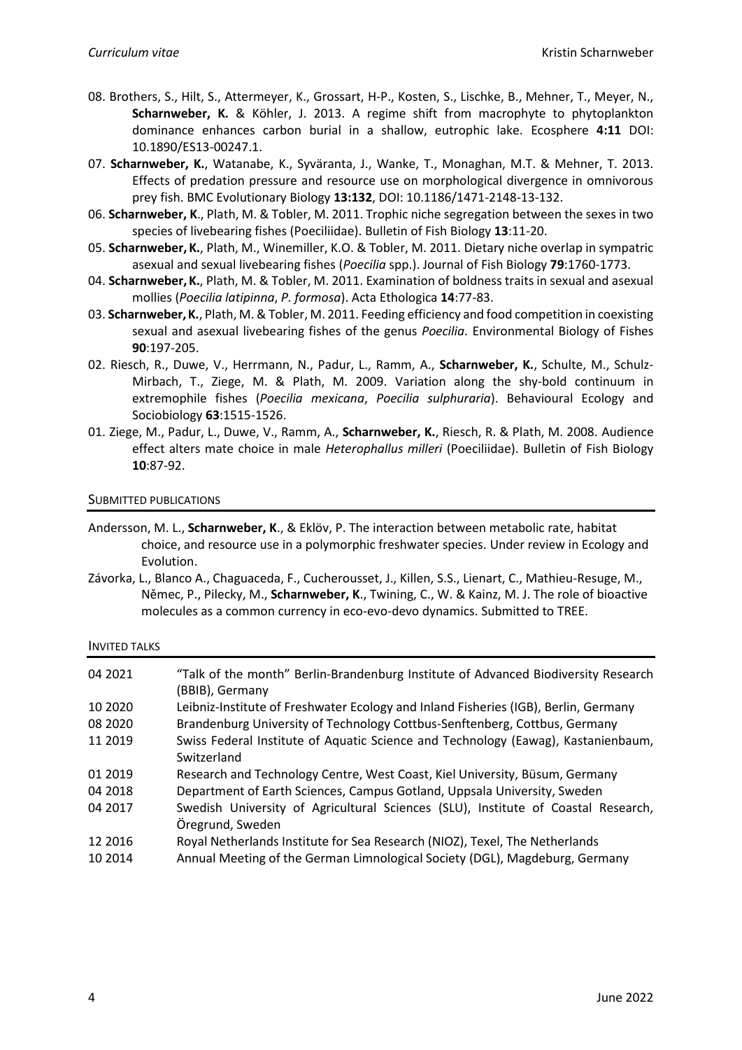- 08. Brothers, S., Hilt, S., Attermeyer, K., Grossart, H-P., Kosten, S., Lischke, B., Mehner, T., Meyer, N., **Scharnweber, K.** & Köhler, J. 2013. A regime shift from macrophyte to phytoplankton dominance enhances carbon burial in a shallow, eutrophic lake. Ecosphere **4:11** DOI: 10.1890/ES13-00247.1.
- 07. **Scharnweber, K.**, Watanabe, K., Syväranta, J., Wanke, T., Monaghan, M.T. & Mehner, T. 2013. Effects of predation pressure and resource use on morphological divergence in omnivorous prey fish. BMC Evolutionary Biology **13:132**, DOI: 10.1186/1471-2148-13-132.
- 06. **Scharnweber, K**., Plath, M. & Tobler, M. 2011. Trophic niche segregation between the sexes in two species of livebearing fishes (Poeciliidae). Bulletin of Fish Biology **13**:11-20.
- 05. **Scharnweber, K.**, Plath, M., Winemiller, K.O. & Tobler, M. 2011. Dietary niche overlap in sympatric asexual and sexual livebearing fishes (*Poecilia* spp.). Journal of Fish Biology **79**:1760-1773.
- 04. **Scharnweber,K.**, Plath, M. & Tobler, M. 2011. Examination of boldness traits in sexual and asexual mollies (*Poecilia latipinna*, *P. formosa*). Acta Ethologica **14**:77-83.
- 03. **Scharnweber,K.**, Plath, M. & Tobler, M. 2011. Feeding efficiency and food competition in coexisting sexual and asexual livebearing fishes of the genus *Poecilia*. Environmental Biology of Fishes **90**:197-205.
- 02. Riesch, R., Duwe, V., Herrmann, N., Padur, L., Ramm, A., **Scharnweber, K.**, Schulte, M., Schulz-Mirbach, T., Ziege, M. & Plath, M. 2009. Variation along the shy-bold continuum in extremophile fishes (*Poecilia mexicana*, *Poecilia sulphuraria*). Behavioural Ecology and Sociobiology **63**:1515-1526.
- 01. Ziege, M., Padur, L., Duwe, V., Ramm, A., **Scharnweber, K.**, Riesch, R. & Plath, M. 2008. Audience effect alters mate choice in male *Heterophallus milleri* (Poeciliidae). Bulletin of Fish Biology **10**:87-92.

### SUBMITTED PUBLICATIONS

- Andersson, M. L., **Scharnweber, K**., & Eklöv, P. The interaction between metabolic rate, habitat choice, and resource use in a polymorphic freshwater species. Under review in Ecology and Evolution.
- Závorka, L., Blanco A., Chaguaceda, F., Cucherousset, J., Killen, S.S., Lienart, C., Mathieu-Resuge, M., Němec, P., Pilecky, M., **Scharnweber, K**., Twining, C., W. & Kainz, M. J. The role of bioactive molecules as a common currency in eco-evo-devo dynamics. Submitted to TREE.

#### INVITED TALKS

| 04 2021  | "Talk of the month" Berlin-Brandenburg Institute of Advanced Biodiversity Research<br>(BBIB), Germany |
|----------|-------------------------------------------------------------------------------------------------------|
| 10 20 20 | Leibniz-Institute of Freshwater Ecology and Inland Fisheries (IGB), Berlin, Germany                   |
| 08 2020  | Brandenburg University of Technology Cottbus-Senftenberg, Cottbus, Germany                            |
| 11 2019  | Swiss Federal Institute of Aquatic Science and Technology (Eawag), Kastanienbaum,<br>Switzerland      |
| 01 2019  | Research and Technology Centre, West Coast, Kiel University, Büsum, Germany                           |
| 04 2018  | Department of Earth Sciences, Campus Gotland, Uppsala University, Sweden                              |
| 04 2017  | Swedish University of Agricultural Sciences (SLU), Institute of Coastal Research,<br>Öregrund, Sweden |
| 12 2016  | Royal Netherlands Institute for Sea Research (NIOZ), Texel, The Netherlands                           |
| 10 2014  | Annual Meeting of the German Limnological Society (DGL), Magdeburg, Germany                           |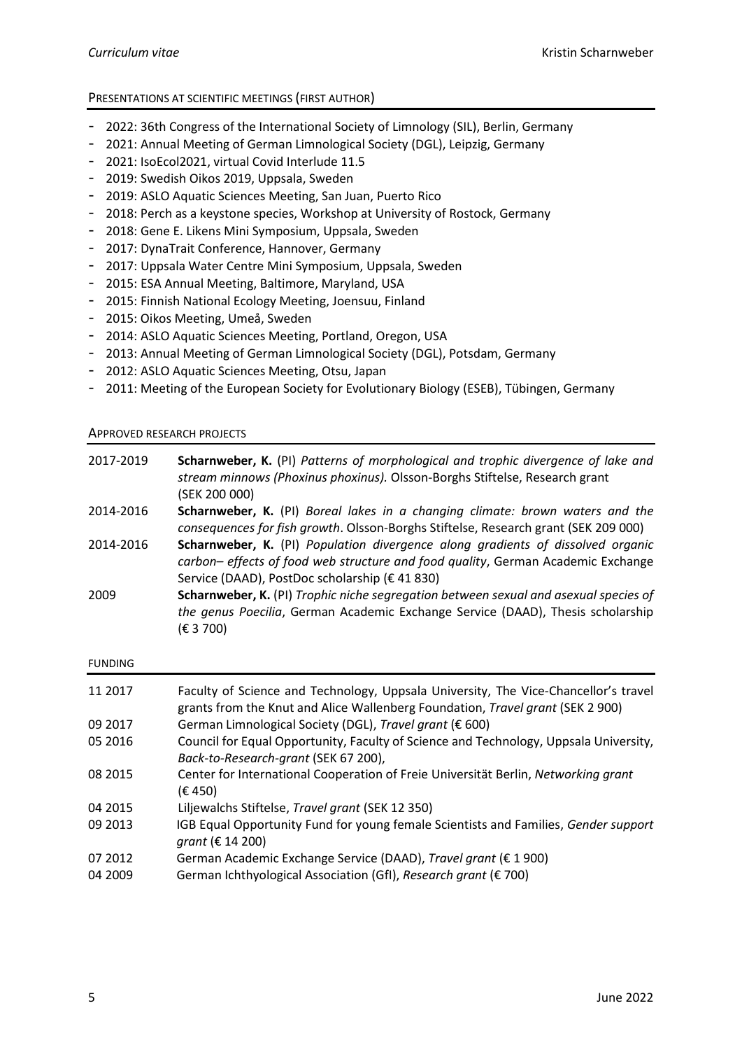# PRESENTATIONS AT SCIENTIFIC MEETINGS (FIRST AUTHOR)

- 2022: 36th Congress of the International Society of Limnology (SIL), Berlin, Germany
- 2021: Annual Meeting of German Limnological Society (DGL), Leipzig, Germany
- 2021: IsoEcol2021, virtual Covid Interlude 11.5
- 2019: Swedish Oikos 2019, Uppsala, Sweden
- 2019: ASLO Aquatic Sciences Meeting, San Juan, Puerto Rico
- 2018: Perch as a keystone species, Workshop at University of Rostock, Germany
- 2018: Gene E. Likens Mini Symposium, Uppsala, Sweden
- 2017: DynaTrait Conference, Hannover, Germany
- 2017: Uppsala Water Centre Mini Symposium, Uppsala, Sweden
- 2015: ESA Annual Meeting, Baltimore, Maryland, USA
- 2015: Finnish National Ecology Meeting, Joensuu, Finland
- 2015: Oikos Meeting, Umeå, Sweden
- 2014: ASLO Aquatic Sciences Meeting, Portland, Oregon, USA
- 2013: Annual Meeting of German Limnological Society (DGL), Potsdam, Germany
- 2012: ASLO Aquatic Sciences Meeting, Otsu, Japan
- 2011: Meeting of the European Society for Evolutionary Biology (ESEB), Tübingen, Germany

## APPROVED RESEARCH PROJECTS

| 2017-2019      | <b>Scharnweber, K.</b> (PI) Patterns of morphological and trophic divergence of lake and<br>stream minnows (Phoxinus phoxinus). Olsson-Borghs Stiftelse, Research grant<br>(SEK 200 000)                                     |
|----------------|------------------------------------------------------------------------------------------------------------------------------------------------------------------------------------------------------------------------------|
| 2014-2016      | <b>Scharnweber, K.</b> (PI) Boreal lakes in a changing climate: brown waters and the<br>consequences for fish growth. Olsson-Borghs Stiftelse, Research grant (SEK 209 000)                                                  |
| 2014-2016      | <b>Scharnweber, K.</b> (PI) Population divergence along gradients of dissolved organic<br>carbon- effects of food web structure and food quality, German Academic Exchange<br>Service (DAAD), PostDoc scholarship (€ 41 830) |
| 2009           | <b>Scharnweber, K.</b> (PI) Trophic niche segregation between sexual and asexual species of<br>the genus Poecilia, German Academic Exchange Service (DAAD), Thesis scholarship<br>(E 3 700)                                  |
| <b>FUNDING</b> |                                                                                                                                                                                                                              |

| 11 2017 | Faculty of Science and Technology, Uppsala University, The Vice-Chancellor's travel<br>grants from the Knut and Alice Wallenberg Foundation, Travel grant (SEK 2 900) |
|---------|-----------------------------------------------------------------------------------------------------------------------------------------------------------------------|
| 09 2017 | German Limnological Society (DGL), Travel grant (€ 600)                                                                                                               |
| 05 2016 | Council for Equal Opportunity, Faculty of Science and Technology, Uppsala University,<br>Back-to-Research-grant (SEK 67 200),                                         |
| 08 2015 | Center for International Cooperation of Freie Universität Berlin, Networking grant<br>(E 450)                                                                         |
| 04 2015 | Liljewalchs Stiftelse, Travel grant (SEK 12 350)                                                                                                                      |
| 09 2013 | IGB Equal Opportunity Fund for young female Scientists and Families, Gender support<br>grant (€ 14 200)                                                               |
| 07 2012 | German Academic Exchange Service (DAAD), Travel grant (€ 1 900)                                                                                                       |
| 04 2009 | German Ichthyological Association (GfI), Research grant (€ 700)                                                                                                       |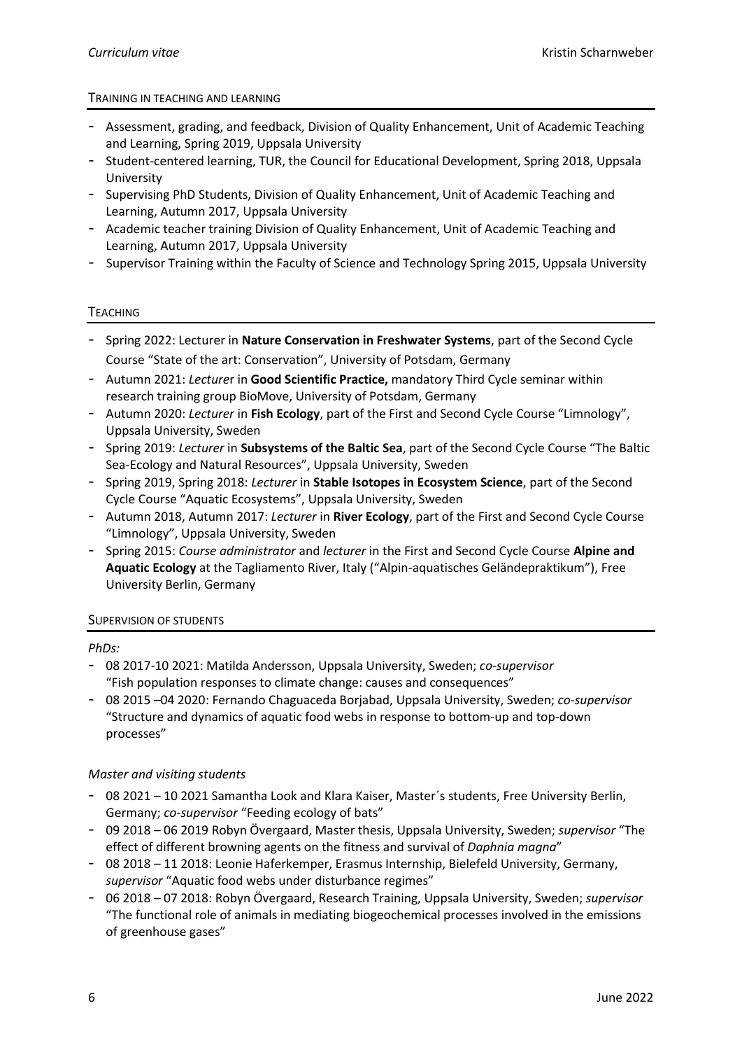# TRAINING IN TEACHING AND LEARNING

- Assessment, grading, and feedback, Division of Quality Enhancement, Unit of Academic Teaching and Learning, Spring 2019, Uppsala University
- Student-centered learning, TUR, the Council for Educational Development, Spring 2018, Uppsala University
- Supervising PhD Students, Division of Quality Enhancement, Unit of Academic Teaching and Learning, Autumn 2017, Uppsala University
- Academic teacher training Division of Quality Enhancement, Unit of Academic Teaching and Learning, Autumn 2017, Uppsala University
- Supervisor Training within the Faculty of Science and Technology Spring 2015, Uppsala University

## TEACHING

- Spring 2022: Lecturer in **Nature Conservation in Freshwater Systems**, part of the Second Cycle Course "State of the art: Conservation", University of Potsdam, Germany
- Autumn 2021: *Lecture*r in **Good Scientific Practice,** mandatory Third Cycle seminar within research training group BioMove, University of Potsdam, Germany
- Autumn 2020: *Lecturer* in **Fish Ecology**, part of the First and Second Cycle Course "Limnology", Uppsala University, Sweden
- Spring 2019: *Lecturer* in **Subsystems of the Baltic Sea**, part of the Second Cycle Course "The Baltic Sea-Ecology and Natural Resources", Uppsala University, Sweden
- Spring 2019, Spring 2018: *Lecturer* in **Stable Isotopes in Ecosystem Science**, part of the Second Cycle Course "Aquatic Ecosystems", Uppsala University, Sweden
- Autumn 2018, Autumn 2017: *Lecturer* in **River Ecology**, part of the First and Second Cycle Course "Limnology", Uppsala University, Sweden
- Spring 2015: *Course administrator* and *lecturer* in the First and Second Cycle Course **Alpine and Aquatic Ecology** at the Tagliamento River, Italy ("Alpin-aquatisches Geländepraktikum"), Free University Berlin, Germany

# SUPERVISION OF STUDENTS

# *PhDs:*

- 08 2017-10 2021: Matilda Andersson, Uppsala University, Sweden; *co-supervisor* "Fish population responses to climate change: causes and consequences"
- 08 2015 –04 2020: Fernando Chaguaceda Borjabad, Uppsala University, Sweden; *co-supervisor* "Structure and dynamics of aquatic food webs in response to bottom-up and top-down processes"

# *Master and visiting students*

- 08 2021 10 2021 Samantha Look and Klara Kaiser, Master´s students, Free University Berlin, Germany; *co-supervisor* "Feeding ecology of bats"
- 09 2018 06 2019 Robyn Övergaard, Master thesis, Uppsala University, Sweden; *supervisor* "The effect of different browning agents on the fitness and survival of *Daphnia magna*"
- 08 2018 11 2018: Leonie Haferkemper, Erasmus Internship, Bielefeld University, Germany, *supervisor* "Aquatic food webs under disturbance regimes"
- 06 2018 07 2018: Robyn Övergaard, Research Training, Uppsala University, Sweden; *supervisor* "The functional role of animals in mediating biogeochemical processes involved in the emissions of greenhouse gases"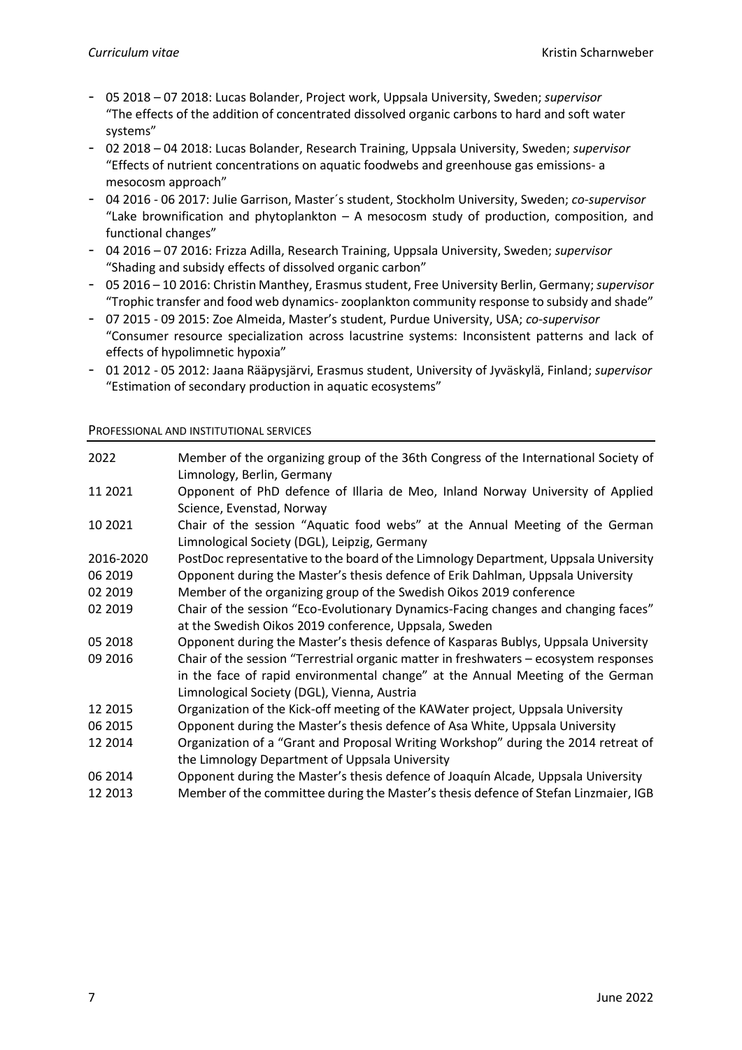- 05 2018 07 2018: Lucas Bolander, Project work, Uppsala University, Sweden; *supervisor* "The effects of the addition of concentrated dissolved organic carbons to hard and soft water systems"
- 02 2018 04 2018: Lucas Bolander, Research Training, Uppsala University, Sweden; *supervisor* "Effects of nutrient concentrations on aquatic foodwebs and greenhouse gas emissions- a mesocosm approach"
- 04 2016 06 2017: Julie Garrison, Master´s student, Stockholm University, Sweden; *co-supervisor* "Lake brownification and phytoplankton  $-$  A mesocosm study of production, composition, and functional changes"
- 04 2016 07 2016: Frizza Adilla, Research Training, Uppsala University, Sweden; *supervisor* "Shading and subsidy effects of dissolved organic carbon"
- 05 2016 10 2016: Christin Manthey, Erasmus student, Free University Berlin, Germany; *supervisor* "Trophic transfer and food web dynamics-zooplankton community response to subsidy and shade"
- 07 2015 09 2015: Zoe Almeida, Master's student, Purdue University, USA; *co-supervisor* "Consumer resource specialization across lacustrine systems: Inconsistent patterns and lack of effects of hypolimnetic hypoxia"
- 01 2012 05 2012: Jaana Rääpysjärvi, Erasmus student, University of Jyväskylä, Finland; *supervisor* "Estimation of secondary production in aquatic ecosystems"

### PROFESSIONAL AND INSTITUTIONAL SERVICES

| 2022      | Member of the organizing group of the 36th Congress of the International Society of<br>Limnology, Berlin, Germany                                                                                                      |
|-----------|------------------------------------------------------------------------------------------------------------------------------------------------------------------------------------------------------------------------|
| 11 2021   | Opponent of PhD defence of Illaria de Meo, Inland Norway University of Applied<br>Science, Evenstad, Norway                                                                                                            |
| 10 2021   | Chair of the session "Aquatic food webs" at the Annual Meeting of the German<br>Limnological Society (DGL), Leipzig, Germany                                                                                           |
| 2016-2020 | PostDoc representative to the board of the Limnology Department, Uppsala University                                                                                                                                    |
| 06 2019   | Opponent during the Master's thesis defence of Erik Dahlman, Uppsala University                                                                                                                                        |
| 02 2019   | Member of the organizing group of the Swedish Oikos 2019 conference                                                                                                                                                    |
| 02 2019   | Chair of the session "Eco-Evolutionary Dynamics-Facing changes and changing faces"<br>at the Swedish Oikos 2019 conference, Uppsala, Sweden                                                                            |
| 05 2018   | Opponent during the Master's thesis defence of Kasparas Bublys, Uppsala University                                                                                                                                     |
| 09 2016   | Chair of the session "Terrestrial organic matter in freshwaters - ecosystem responses<br>in the face of rapid environmental change" at the Annual Meeting of the German<br>Limnological Society (DGL), Vienna, Austria |
| 12 2015   | Organization of the Kick-off meeting of the KAWater project, Uppsala University                                                                                                                                        |
| 06 2015   | Opponent during the Master's thesis defence of Asa White, Uppsala University                                                                                                                                           |
| 12 2014   | Organization of a "Grant and Proposal Writing Workshop" during the 2014 retreat of<br>the Limnology Department of Uppsala University                                                                                   |
| 06 2014   | Opponent during the Master's thesis defence of Joaquín Alcade, Uppsala University                                                                                                                                      |
| 12 2013   | Member of the committee during the Master's thesis defence of Stefan Linzmaier, IGB                                                                                                                                    |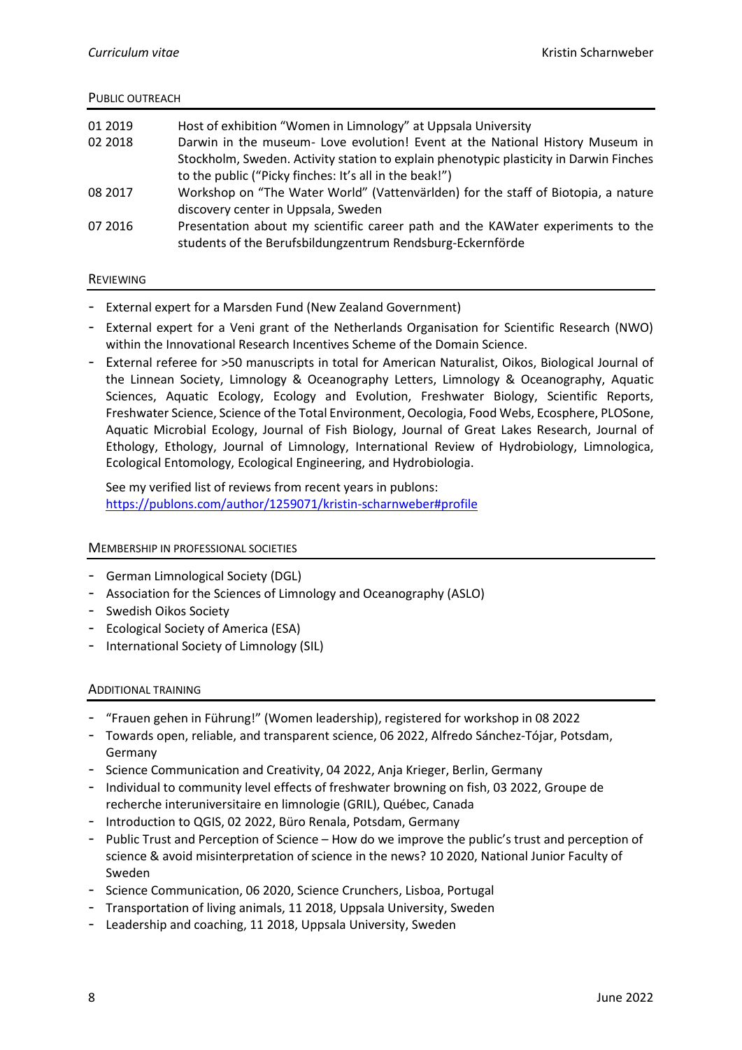### PUBLIC OUTREACH

| 01 2019<br>02 2018 | Host of exhibition "Women in Limnology" at Uppsala University<br>Darwin in the museum- Love evolution! Event at the National History Museum in<br>Stockholm, Sweden. Activity station to explain phenotypic plasticity in Darwin Finches<br>to the public ("Picky finches: It's all in the beak!") |
|--------------------|----------------------------------------------------------------------------------------------------------------------------------------------------------------------------------------------------------------------------------------------------------------------------------------------------|
| 08 2017            | Workshop on "The Water World" (Vattenvärlden) for the staff of Biotopia, a nature<br>discovery center in Uppsala, Sweden                                                                                                                                                                           |
| 07 2016            | Presentation about my scientific career path and the KAWater experiments to the<br>students of the Berufsbildungzentrum Rendsburg-Eckernförde                                                                                                                                                      |

### REVIEWING

- External expert for a Marsden Fund (New Zealand Government)
- External expert for a Veni grant of the Netherlands Organisation for Scientific Research (NWO) within the Innovational Research Incentives Scheme of the Domain Science.
- External referee for >50 manuscripts in total for American Naturalist, Oikos, Biological Journal of the Linnean Society, Limnology & Oceanography Letters, Limnology & Oceanography, Aquatic Sciences, Aquatic Ecology, Ecology and Evolution, Freshwater Biology, Scientific Reports, Freshwater Science, Science of the Total Environment, Oecologia, Food Webs, Ecosphere, PLOSone, Aquatic Microbial Ecology, Journal of Fish Biology, Journal of Great Lakes Research, Journal of Ethology, Ethology, Journal of Limnology, International Review of Hydrobiology, Limnologica, Ecological Entomology, Ecological Engineering, and Hydrobiologia.

See my verified list of reviews from recent years in publons: <https://publons.com/author/1259071/kristin-scharnweber#profile>

### MEMBERSHIP IN PROFESSIONAL SOCIETIES

- German Limnological Society (DGL)
- Association for the Sciences of Limnology and Oceanography (ASLO)
- Swedish Oikos Society
- Ecological Society of America (ESA)
- International Society of Limnology (SIL)

### ADDITIONAL TRAINING

- "Frauen gehen in Führung!" (Women leadership), registered for workshop in 08 2022
- Towards open, reliable, and transparent science, 06 2022, Alfredo Sánchez-Tójar, Potsdam, Germany
- Science Communication and Creativity, 04 2022, Anja Krieger, Berlin, Germany
- Individual to community level effects of freshwater browning on fish, 03 2022, Groupe de recherche interuniversitaire en limnologie (GRIL), Québec, Canada
- Introduction to QGIS, 02 2022, Büro Renala, Potsdam, Germany
- Public Trust and Perception of Science How do we improve the public's trust and perception of science & avoid misinterpretation of science in the news? 10 2020, National Junior Faculty of Sweden
- Science Communication, 06 2020, Science Crunchers, Lisboa, Portugal
- Transportation of living animals, 11 2018, Uppsala University, Sweden
- Leadership and coaching, 11 2018, Uppsala University, Sweden